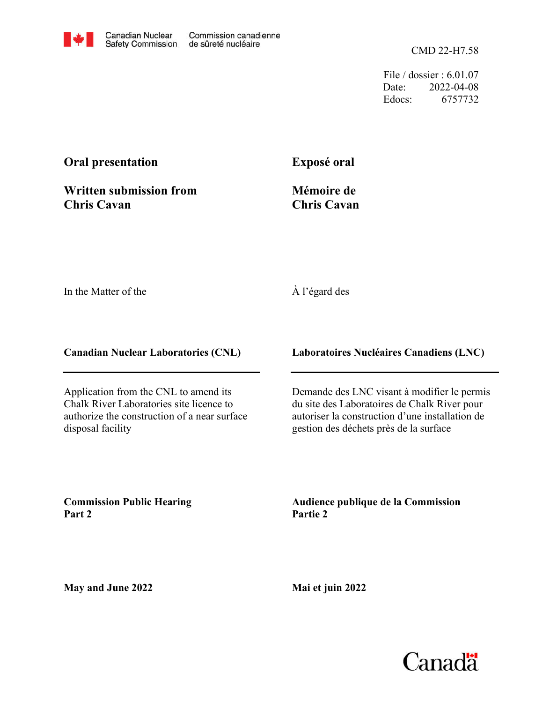CMD 22-H7.58

File / dossier : 6.01.07 Date: 2022-04-08 Edocs: 6757732

### **Oral presentation**

**Written submission from Chris Cavan**

**Exposé oral**

**Mémoire de Chris Cavan**

In the Matter of the

#### À l'égard des

**Canadian Nuclear Laboratories (CNL)**

Application from the CNL to amend its Chalk River Laboratories site licence to authorize the construction of a near surface disposal facility

**Laboratoires Nucléaires Canadiens (LNC)**

Demande des LNC visant à modifier le permis du site des Laboratoires de Chalk River pour autoriser la construction d'une installation de gestion des déchets près de la surface

**Commission Public Hearing Part 2**

**Audience publique de la Commission Partie 2**

**May and June 2022**

**Mai et juin 2022**

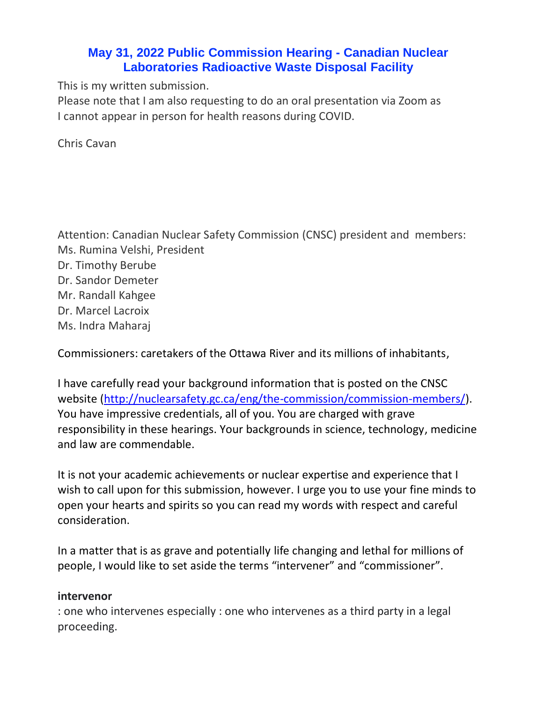## **May 31, 2022 Public Commission Hearing - Canadian Nuclear Laboratories Radioactive Waste Disposal Facility**

This is my written submission.

Please note that I am also requesting to do an oral presentation via Zoom as I cannot appear in person for health reasons during COVID.

Chris Cavan

Attention: Canadian Nuclear Safety Commission (CNSC) president and members: Ms. Rumina Velshi, President Dr. Timothy Berube Dr. Sandor Demeter Mr. Randall Kahgee Dr. Marcel Lacroix Ms. Indra Maharaj

Commissioners: caretakers of the Ottawa River and its millions of inhabitants,

I have carefully read your background information that is posted on the CNSC website [\(http://nuclearsafety.gc.ca/eng/the-commission/commission-members/\)](http://nuclearsafety.gc.ca/eng/the-commission/commission-members/). You have impressive credentials, all of you. You are charged with grave responsibility in these hearings. Your backgrounds in science, technology, medicine and law are commendable.

It is not your academic achievements or nuclear expertise and experience that I wish to call upon for this submission, however. I urge you to use your fine minds to open your hearts and spirits so you can read my words with respect and careful consideration.

In a matter that is as grave and potentially life changing and lethal for millions of people, I would like to set aside the terms "intervener" and "commissioner".

#### **intervenor**

: one who intervenes especially : one who intervenes as a third party in a legal proceeding.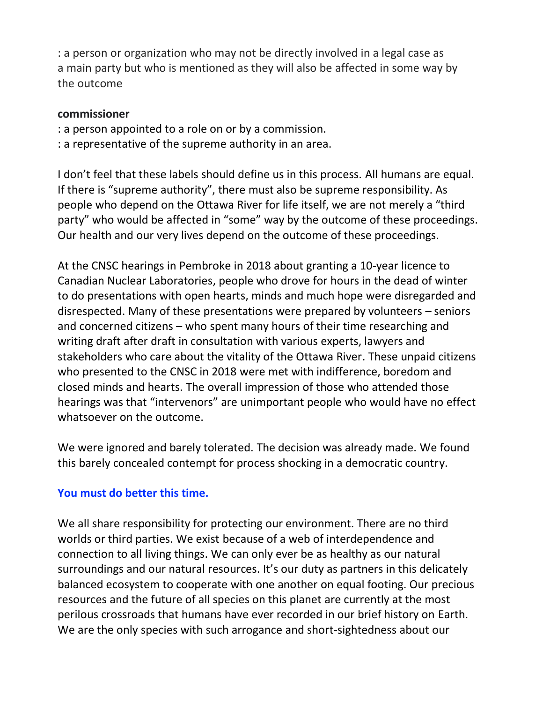: a [person](https://www.macmillandictionary.com/dictionary/british/person) or [organization](https://www.macmillandictionary.com/dictionary/british/organization) who may not be [directly](https://www.macmillandictionary.com/dictionary/british/directly_1) [involved](https://www.macmillandictionary.com/dictionary/british/involved) in a [legal](https://www.macmillandictionary.com/dictionary/british/legal) [case](https://www.macmillandictionary.com/dictionary/british/case_1) as a [main](https://www.macmillandictionary.com/dictionary/british/main_1) [party](https://www.macmillandictionary.com/dictionary/british/party_1) but who is [mentioned](https://www.macmillandictionary.com/dictionary/british/mention_1) as they will also be [affected](https://www.macmillandictionary.com/dictionary/british/affected) in some way by the [outcome](https://www.macmillandictionary.com/dictionary/british/outcome)

#### **commissioner**

- : a person appointed to a role on or by a commission.
- : a representative of the supreme authority in an area.

I don't feel that these labels should define us in this process. All humans are equal. If there is "supreme authority", there must also be supreme responsibility. As people who depend on the Ottawa River for life itself, we are not merely a "third party" who would be affected in "some" way by the outcome of these proceedings. Our health and our very lives depend on the outcome of these proceedings.

At the CNSC hearings in Pembroke in 2018 about granting a 10-year licence to Canadian Nuclear Laboratories, people who drove for hours in the dead of winter to do presentations with open hearts, minds and much hope were disregarded and disrespected. Many of these presentations were prepared by volunteers – seniors and concerned citizens – who spent many hours of their time researching and writing draft after draft in consultation with various experts, lawyers and stakeholders who care about the vitality of the Ottawa River. These unpaid citizens who presented to the CNSC in 2018 were met with indifference, boredom and closed minds and hearts. The overall impression of those who attended those hearings was that "intervenors" are unimportant people who would have no effect whatsoever on the outcome.

We were ignored and barely tolerated. The decision was already made. We found this barely concealed contempt for process shocking in a democratic country.

## **You must do better this time.**

We all share responsibility for protecting our environment. There are no third worlds or third parties. We exist because of a web of interdependence and connection to all living things. We can only ever be as healthy as our natural surroundings and our natural resources. It's our duty as partners in this delicately balanced ecosystem to cooperate with one another on equal footing. Our precious resources and the future of all species on this planet are currently at the most perilous crossroads that humans have ever recorded in our brief history on Earth. We are the only species with such arrogance and short-sightedness about our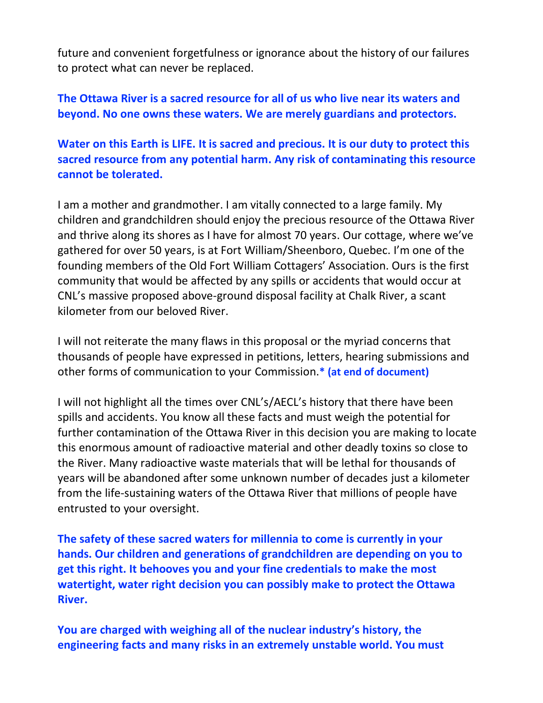future and convenient forgetfulness or ignorance about the history of our failures to protect what can never be replaced.

**The Ottawa River is a sacred resource for all of us who live near its waters and beyond. No one owns these waters. We are merely guardians and protectors.**

**Water on this Earth is LIFE. It is sacred and precious. It is our duty to protect this sacred resource from any potential harm. Any risk of contaminating this resource cannot be tolerated.** 

I am a mother and grandmother. I am vitally connected to a large family. My children and grandchildren should enjoy the precious resource of the Ottawa River and thrive along its shores as I have for almost 70 years. Our cottage, where we've gathered for over 50 years, is at Fort William/Sheenboro, Quebec. I'm one of the founding members of the Old Fort William Cottagers' Association. Ours is the first community that would be affected by any spills or accidents that would occur at CNL's massive proposed above-ground disposal facility at Chalk River, a scant kilometer from our beloved River.

I will not reiterate the many flaws in this proposal or the myriad concerns that thousands of people have expressed in petitions, letters, hearing submissions and other forms of communication to your Commission.**\* (at end of document)**

I will not highlight all the times over CNL's/AECL's history that there have been spills and accidents. You know all these facts and must weigh the potential for further contamination of the Ottawa River in this decision you are making to locate this enormous amount of radioactive material and other deadly toxins so close to the River. Many radioactive waste materials that will be lethal for thousands of years will be abandoned after some unknown number of decades just a kilometer from the life-sustaining waters of the Ottawa River that millions of people have entrusted to your oversight.

**The safety of these sacred waters for millennia to come is currently in your hands. Our children and generations of grandchildren are depending on you to get this right. It behooves you and your fine credentials to make the most watertight, water right decision you can possibly make to protect the Ottawa River.**

**You are charged with weighing all of the nuclear industry's history, the engineering facts and many risks in an extremely unstable world. You must**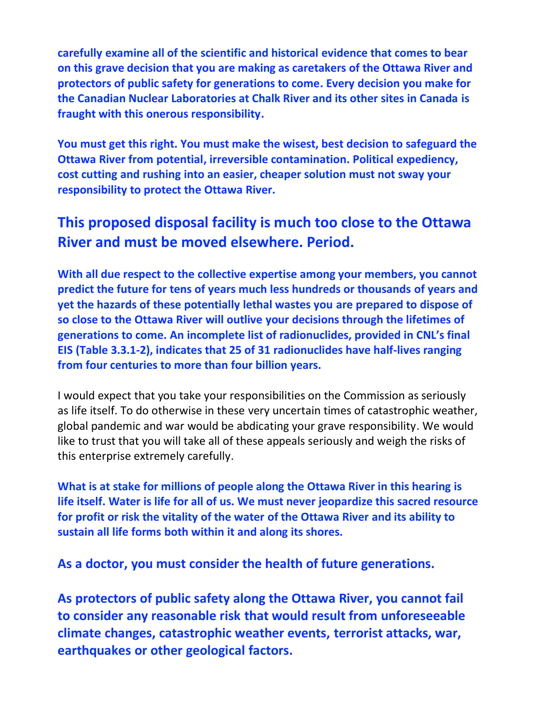**carefully examine all of the scientific and historical evidence that comes to bear on this grave decision that you are making as caretakers of the Ottawa River and protectors of public safety for generations to come. Every decision you make for the Canadian Nuclear Laboratories at Chalk River and its other sites in Canada is fraught with this onerous responsibility.**

**You must get this right. You must make the wisest, best decision to safeguard the Ottawa River from potential, irreversible contamination. Political expediency, cost cutting and rushing into an easier, cheaper solution must not sway your responsibility to protect the Ottawa River.** 

# **This proposed disposal facility is much too close to the Ottawa River and must be moved elsewhere. Period.**

**With all due respect to the collective expertise among your members, you cannot predict the future for tens of years much less hundreds or thousands of years and yet the hazards of these potentially lethal wastes you are prepared to dispose of so close to the Ottawa River will outlive your decisions through the lifetimes of generations to come. An incomplete list of radionuclides, provided in CNL's final EIS (Table 3.3.1-2), indicates that 25 of 31 radionuclides have half-lives ranging from four centuries to more than four billion years.**

I would expect that you take your responsibilities on the Commission as seriously as life itself. To do otherwise in these very uncertain times of catastrophic weather, global pandemic and war would be abdicating your grave responsibility. We would like to trust that you will take all of these appeals seriously and weigh the risks of this enterprise extremely carefully.

**What is at stake for millions of people along the Ottawa River in this hearing is life itself. Water is life for all of us. We must never jeopardize this sacred resource for profit or risk the vitality of the water of the Ottawa River and its ability to sustain all life forms both within it and along its shores.**

**As a doctor, you must consider the health of future generations.**

**As protectors of public safety along the Ottawa River, you cannot fail to consider any reasonable risk that would result from unforeseeable climate changes, catastrophic weather events, terrorist attacks, war, earthquakes or other geological factors.**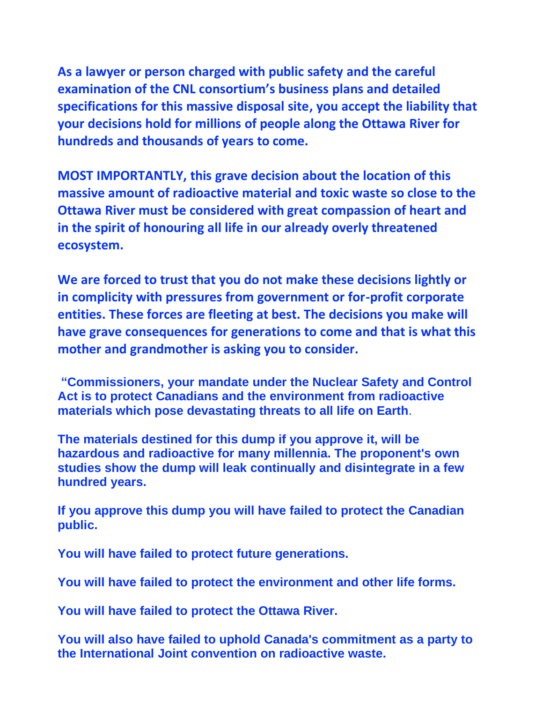**As a lawyer or person charged with public safety and the careful examination of the CNL consortium's business plans and detailed specifications for this massive disposal site, you accept the liability that your decisions hold for millions of people along the Ottawa River for hundreds and thousands of years to come.**

**MOST IMPORTANTLY, this grave decision about the location of this massive amount of radioactive material and toxic waste so close to the Ottawa River must be considered with great compassion of heart and in the spirit of honouring all life in our already overly threatened ecosystem.**

**We are forced to trust that you do not make these decisions lightly or in complicity with pressures from government or for-profit corporate entities. These forces are fleeting at best. The decisions you make will have grave consequences for generations to come and that is what this mother and grandmother is asking you to consider.**

**"Commissioners, your mandate under the Nuclear Safety and Control Act is to protect Canadians and the environment from radioactive materials which pose devastating threats to all life on Earth**.

**The materials destined for this dump if you approve it, will be hazardous and radioactive for many millennia. The proponent's own studies show the dump will leak continually and disintegrate in a few hundred years.**

**If you approve this dump you will have failed to protect the Canadian public.**

**You will have failed to protect future generations.**

**You will have failed to protect the environment and other life forms.**

**You will have failed to protect the Ottawa River.**

**You will also have failed to uphold Canada's commitment as a party to the International Joint convention on radioactive waste.**